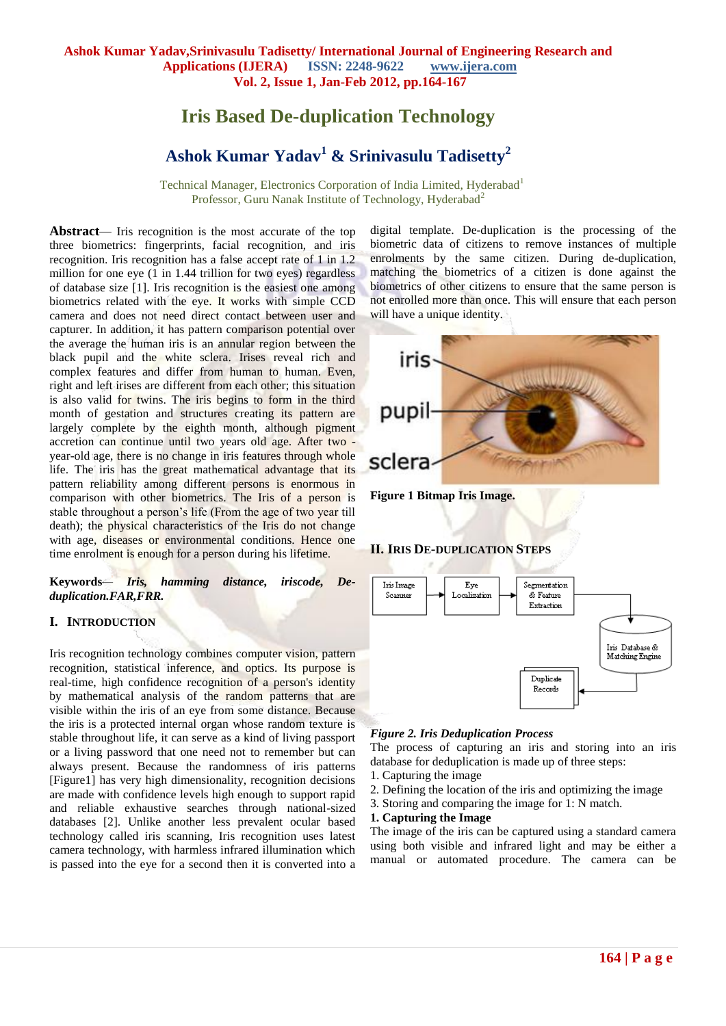# **Iris Based De-duplication Technology**

# **Ashok Kumar Yadav<sup>1</sup> & Srinivasulu Tadisetty<sup>2</sup>**

**Technical Manager, Electronics Corporation of India Limited, Hyderabad<sup>1</sup>** Professor, Guru Nanak Institute of Technology, Hyderabad<sup>2</sup>

Abstract— Iris recognition is the most accurate of the top three biometrics: fingerprints, facial recognition, and iris recognition. Iris recognition has a false accept rate of 1 in 1.2 million for one eye (1 in 1.44 trillion for two eyes) regardless of database size [1]. Iris recognition is the easiest one among biometrics related with the eye. It works with simple CCD camera and does not need direct contact between user and capturer. In addition, it has pattern comparison potential over the average the human iris is an annular region between the black pupil and the white sclera. Irises reveal rich and complex features and differ from human to human. Even, right and left irises are different from each other; this situation is also valid for twins. The iris begins to form in the third month of gestation and structures creating its pattern are largely complete by the eighth month, although pigment accretion can continue until two years old age. After two year-old age, there is no change in iris features through whole life. The iris has the great mathematical advantage that its pattern reliability among different persons is enormous in comparison with other biometrics. The Iris of a person is stable throughout a person's life (From the age of two year till death); the physical characteristics of the Iris do not change with age, diseases or environmental conditions. Hence one time enrolment is enough for a person during his lifetime.

**Keywords***— Iris, hamming distance, iriscode, Deduplication.FAR,FRR.*

#### **I. INTRODUCTION**

Iris recognition technology combines computer vision, pattern recognition, statistical inference, and optics. Its purpose is real-time, high confidence recognition of a person's identity by mathematical analysis of the random patterns that are visible within the iris of an eye from some distance. Because the iris is a protected internal organ whose random texture is stable throughout life, it can serve as a kind of living passport or a living password that one need not to remember but can always present. Because the randomness of iris patterns [Figure1] has very high dimensionality, recognition decisions are made with confidence levels high enough to support rapid and reliable exhaustive searches through national-sized databases [2]. Unlike another less prevalent ocular based technology called iris scanning, Iris recognition uses latest camera technology, with harmless infrared illumination which is passed into the eye for a second then it is converted into a

digital template. De-duplication is the processing of the biometric data of citizens to remove instances of multiple enrolments by the same citizen. During de-duplication, matching the biometrics of a citizen is done against the biometrics of other citizens to ensure that the same person is not enrolled more than once. This will ensure that each person will have a unique identity.



**Figure 1 Bitmap Iris Image.**

#### **II. IRIS DE-DUPLICATION STEPS**



#### *Figure 2. Iris Deduplication Process*

The process of capturing an iris and storing into an iris database for deduplication is made up of three steps:

- 1. Capturing the image
- 2. Defining the location of the iris and optimizing the image
- 3. Storing and comparing the image for 1: N match.

#### **1. Capturing the Image**

The image of the iris can be captured using a standard camera using both visible and infrared light and may be either a manual or automated procedure. The camera can be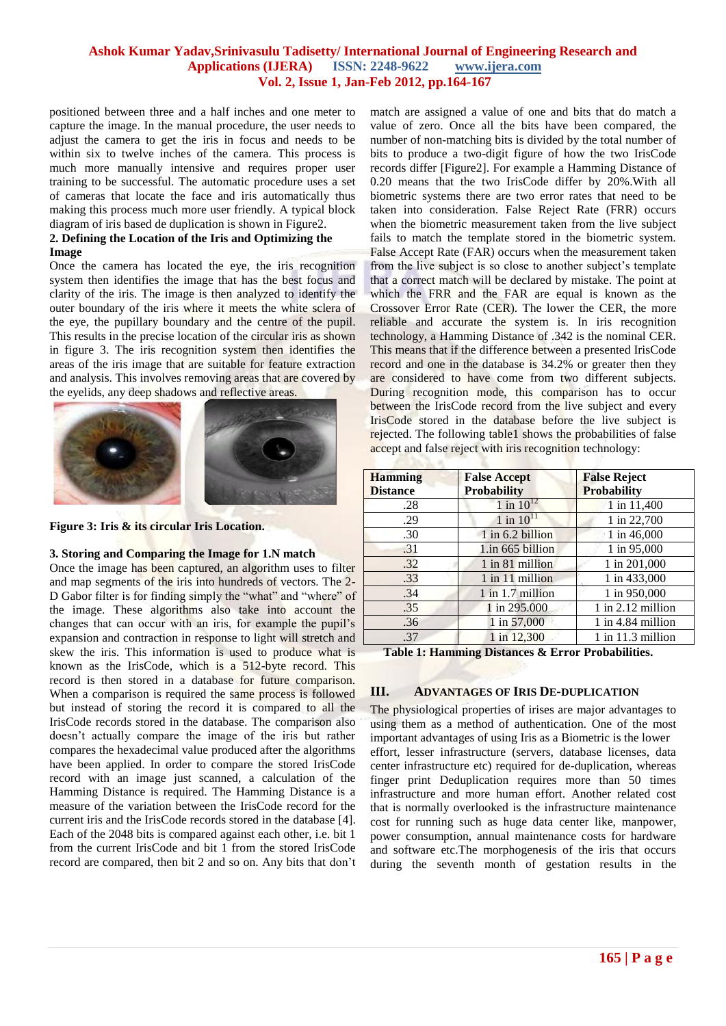## **Ashok Kumar Yadav,Srinivasulu Tadisetty/ International Journal of Engineering Research and Applications (IJERA) ISSN: 2248-9622 www.ijera.com Vol. 2, Issue 1, Jan-Feb 2012, pp.164-167**

positioned between three and a half inches and one meter to capture the image. In the manual procedure, the user needs to adjust the camera to get the iris in focus and needs to be within six to twelve inches of the camera. This process is much more manually intensive and requires proper user training to be successful. The automatic procedure uses a set of cameras that locate the face and iris automatically thus making this process much more user friendly. A typical block diagram of iris based de duplication is shown in Figure2.

#### **2. Defining the Location of the Iris and Optimizing the Image**

Once the camera has located the eye, the iris recognition system then identifies the image that has the best focus and clarity of the iris. The image is then analyzed to identify the outer boundary of the iris where it meets the white sclera of the eye, the pupillary boundary and the centre of the pupil. This results in the precise location of the circular iris as shown in figure 3. The iris recognition system then identifies the areas of the iris image that are suitable for feature extraction and analysis. This involves removing areas that are covered by the eyelids, any deep shadows and reflective areas.



**Figure 3: Iris & its circular Iris Location.**

#### **3. Storing and Comparing the Image for 1.N match**

Once the image has been captured, an algorithm uses to filter and map segments of the iris into hundreds of vectors. The 2- D Gabor filter is for finding simply the "what" and "where" of the image. These algorithms also take into account the changes that can occur with an iris, for example the pupil's expansion and contraction in response to light will stretch and skew the iris. This information is used to produce what is known as the IrisCode, which is a 512-byte record. This record is then stored in a database for future comparison. When a comparison is required the same process is followed but instead of storing the record it is compared to all the IrisCode records stored in the database. The comparison also doesn't actually compare the image of the iris but rather compares the hexadecimal value produced after the algorithms have been applied. In order to compare the stored IrisCode record with an image just scanned, a calculation of the Hamming Distance is required. The Hamming Distance is a measure of the variation between the IrisCode record for the current iris and the IrisCode records stored in the database [4]. Each of the 2048 bits is compared against each other, i.e. bit 1 from the current IrisCode and bit 1 from the stored IrisCode record are compared, then bit 2 and so on. Any bits that don't

match are assigned a value of one and bits that do match a value of zero. Once all the bits have been compared, the number of non-matching bits is divided by the total number of bits to produce a two-digit figure of how the two IrisCode records differ [Figure2]. For example a Hamming Distance of 0.20 means that the two IrisCode differ by 20%.With all biometric systems there are two error rates that need to be taken into consideration. False Reject Rate (FRR) occurs when the biometric measurement taken from the live subject fails to match the template stored in the biometric system. False Accept Rate (FAR) occurs when the measurement taken from the live subject is so close to another subject's template that a correct match will be declared by mistake. The point at which the FRR and the FAR are equal is known as the Crossover Error Rate (CER). The lower the CER, the more reliable and accurate the system is. In iris recognition technology, a Hamming Distance of .342 is the nominal CER. This means that if the difference between a presented IrisCode record and one in the database is 34.2% or greater then they are considered to have come from two different subjects. During recognition mode, this comparison has to occur between the IrisCode record from the live subject and every IrisCode stored in the database before the live subject is rejected. The following table1 shows the probabilities of false accept and false reject with iris recognition technology:

| <b>Hamming</b>  | <b>False Accept</b>     | <b>False Reject</b>   |
|-----------------|-------------------------|-----------------------|
| <b>Distance</b> | <b>Probability</b>      | <b>Probability</b>    |
| .28             | $1 \text{ in } 10^{12}$ | 1 in 11,400           |
| .29             | $1$ in $1011$           | 1 in 22,700           |
| .30             | $1$ in 6.2 billion      | 1 in 46,000           |
| .31             | 1.in 665 billion        | 1 in 95,000           |
| .32             | 1 in 81 million         | 1 in 201,000          |
| .33             | 1 in 11 million         | 1 in 433,000          |
| .34             | $1$ in 1.7 million      | 1 in 950,000          |
| .35             | 1 in 295.000            | $1$ in $2.12$ million |
| .36             | 1 in 57,000             | $1$ in 4.84 million   |
| .37             | 1 in 12,300             | $1$ in $11.3$ million |

**Table 1: Hamming Distances & Error Probabilities.**

#### **III. ADVANTAGES OF IRIS DE-DUPLICATION**

The physiological properties of irises are major advantages to using them as a method of authentication. One of the most important advantages of using Iris as a Biometric is the lower effort, lesser infrastructure (servers, database licenses, data center infrastructure etc) required for de-duplication, whereas finger print Deduplication requires more than 50 times infrastructure and more human effort. Another related cost that is normally overlooked is the infrastructure maintenance cost for running such as huge data center like, manpower, power consumption, annual maintenance costs for hardware and software etc.The morphogenesis of the iris that occurs during the seventh month of gestation results in the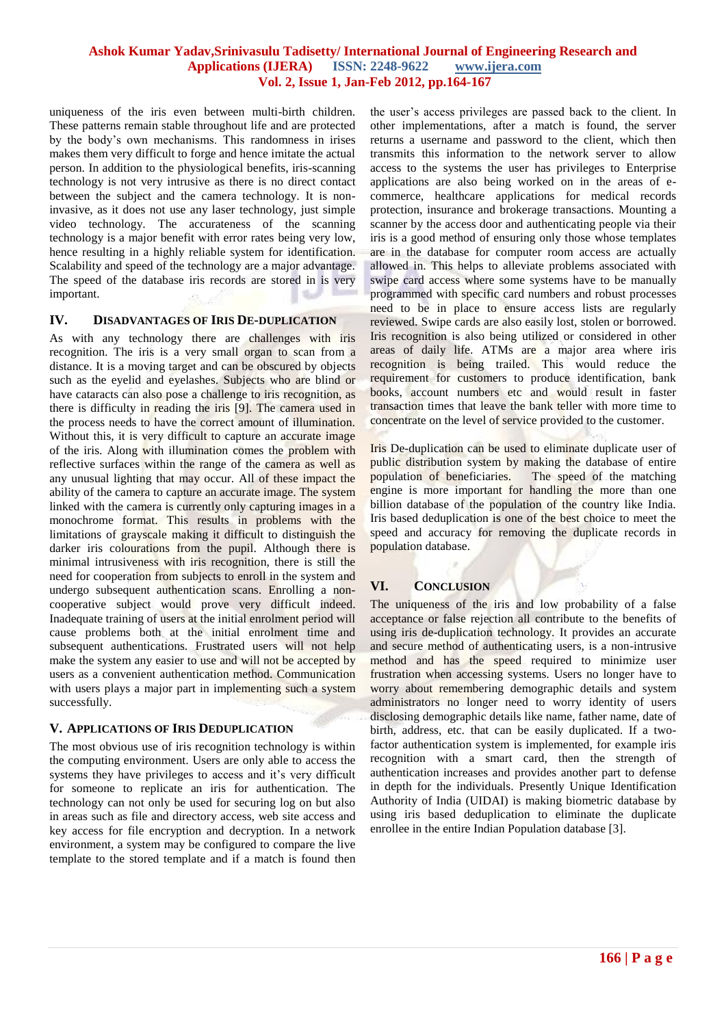### **Ashok Kumar Yadav,Srinivasulu Tadisetty/ International Journal of Engineering Research and Applications (IJERA) ISSN: 2248-9622 www.ijera.com Vol. 2, Issue 1, Jan-Feb 2012, pp.164-167**

uniqueness of the iris even between multi-birth children. These patterns remain stable throughout life and are protected by the body's own mechanisms. This randomness in irises makes them very difficult to forge and hence imitate the actual person. In addition to the physiological benefits, iris-scanning technology is not very intrusive as there is no direct contact between the subject and the camera technology. It is noninvasive, as it does not use any laser technology, just simple video technology. The accurateness of the scanning technology is a major benefit with error rates being very low, hence resulting in a highly reliable system for identification. Scalability and speed of the technology are a major advantage. The speed of the database iris records are stored in is very important.

## **IV. DISADVANTAGES OF IRIS DE-DUPLICATION**

As with any technology there are challenges with iris recognition. The iris is a very small organ to scan from a distance. It is a moving target and can be obscured by objects such as the eyelid and eyelashes. Subjects who are blind or have cataracts can also pose a challenge to iris recognition, as there is difficulty in reading the iris [9]. The camera used in the process needs to have the correct amount of illumination. Without this, it is very difficult to capture an accurate image of the iris. Along with illumination comes the problem with reflective surfaces within the range of the camera as well as any unusual lighting that may occur. All of these impact the ability of the camera to capture an accurate image. The system linked with the camera is currently only capturing images in a monochrome format. This results in problems with the limitations of grayscale making it difficult to distinguish the darker iris colourations from the pupil. Although there is minimal intrusiveness with iris recognition, there is still the need for cooperation from subjects to enroll in the system and undergo subsequent authentication scans. Enrolling a noncooperative subject would prove very difficult indeed. Inadequate training of users at the initial enrolment period will cause problems both at the initial enrolment time and subsequent authentications. Frustrated users will not help make the system any easier to use and will not be accepted by users as a convenient authentication method. Communication with users plays a major part in implementing such a system successfully.

#### **V. APPLICATIONS OF IRIS DEDUPLICATION**

The most obvious use of iris recognition technology is within the computing environment. Users are only able to access the systems they have privileges to access and it's very difficult for someone to replicate an iris for authentication. The technology can not only be used for securing log on but also in areas such as file and directory access, web site access and key access for file encryption and decryption. In a network environment, a system may be configured to compare the live template to the stored template and if a match is found then

the user's access privileges are passed back to the client. In other implementations, after a match is found, the server returns a username and password to the client, which then transmits this information to the network server to allow access to the systems the user has privileges to Enterprise applications are also being worked on in the areas of ecommerce, healthcare applications for medical records protection, insurance and brokerage transactions. Mounting a scanner by the access door and authenticating people via their iris is a good method of ensuring only those whose templates are in the database for computer room access are actually allowed in. This helps to alleviate problems associated with swipe card access where some systems have to be manually programmed with specific card numbers and robust processes need to be in place to ensure access lists are regularly reviewed. Swipe cards are also easily lost, stolen or borrowed. Iris recognition is also being utilized or considered in other areas of daily life. ATMs are a major area where iris recognition is being trailed. This would reduce the requirement for customers to produce identification, bank books, account numbers etc and would result in faster transaction times that leave the bank teller with more time to concentrate on the level of service provided to the customer.

Iris De-duplication can be used to eliminate duplicate user of public distribution system by making the database of entire population of beneficiaries. The speed of the matching engine is more important for handling the more than one billion database of the population of the country like India. Iris based deduplication is one of the best choice to meet the speed and accuracy for removing the duplicate records in population database.

#### **VI. CONCLUSION**

The uniqueness of the iris and low probability of a false acceptance or false rejection all contribute to the benefits of using iris de-duplication technology. It provides an accurate and secure method of authenticating users, is a non-intrusive method and has the speed required to minimize user frustration when accessing systems. Users no longer have to worry about remembering demographic details and system administrators no longer need to worry identity of users disclosing demographic details like name, father name, date of birth, address, etc. that can be easily duplicated. If a twofactor authentication system is implemented, for example iris recognition with a smart card, then the strength of authentication increases and provides another part to defense in depth for the individuals. Presently Unique Identification Authority of India (UIDAI) is making biometric database by using iris based deduplication to eliminate the duplicate enrollee in the entire Indian Population database [3].